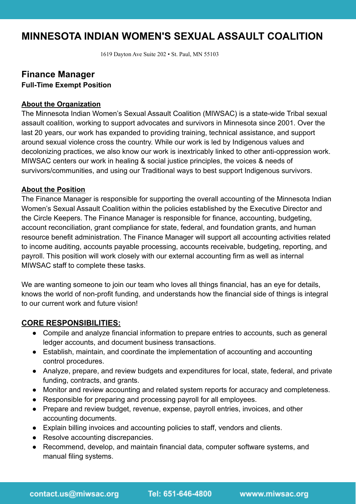# **MINNESOTA INDIAN WOMEN'S SEXUAL ASSAULT COALITION**

1619 Dayton Ave Suite 202 • St. Paul, MN 55103

## **Finance Manager Full-Time Exempt Position**

#### **About the Organization**

The Minnesota Indian Women's Sexual Assault Coalition (MIWSAC) is a state-wide Tribal sexual assault coalition, working to support advocates and survivors in Minnesota since 2001. Over the last 20 years, our work has expanded to providing training, technical assistance, and support around sexual violence cross the country. While our work is led by Indigenous values and decolonizing practices, we also know our work is inextricably linked to other anti-oppression work. MIWSAC centers our work in healing & social justice principles, the voices & needs of survivors/communities, and using our Traditional ways to best support Indigenous survivors.

#### **About the Position**

The Finance Manager is responsible for supporting the overall accounting of the Minnesota Indian Women's Sexual Assault Coalition within the policies established by the Executive Director and the Circle Keepers. The Finance Manager is responsible for finance, accounting, budgeting, account reconciliation, grant compliance for state, federal, and foundation grants, and human resource benefit administration. The Finance Manager will support all accounting activities related to income auditing, accounts payable processing, accounts receivable, budgeting, reporting, and payroll. This position will work closely with our external accounting firm as well as internal MIWSAC staff to complete these tasks.

We are wanting someone to join our team who loves all things financial, has an eye for details, knows the world of non-profit funding, and understands how the financial side of things is integral to our current work and future vision!

#### **CORE RESPONSIBILITIES:**

- Compile and analyze financial information to prepare entries to accounts, such as general ledger accounts, and document business transactions.
- Establish, maintain, and coordinate the implementation of accounting and accounting control procedures.
- Analyze, prepare, and review budgets and expenditures for local, state, federal, and private funding, contracts, and grants.
- Monitor and review accounting and related system reports for accuracy and completeness.
- Responsible for preparing and processing payroll for all employees.
- Prepare and review budget, revenue, expense, payroll entries, invoices, and other accounting documents.
- Explain billing invoices and accounting policies to staff, vendors and clients.
- Resolve accounting discrepancies.
- Recommend, develop, and maintain financial data, computer software systems, and manual filing systems.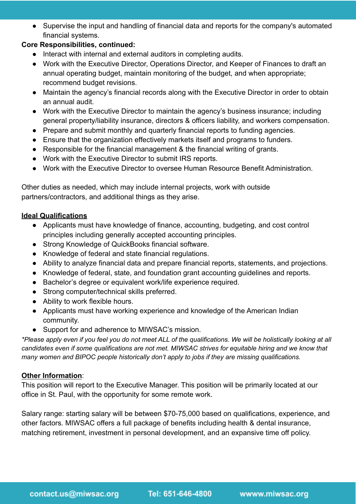● Supervise the input and handling of financial data and reports for the company's automated financial systems.

### **Core Responsibilities, continued:**

- Interact with internal and external auditors in completing audits.
- Work with the Executive Director, Operations Director, and Keeper of Finances to draft an annual operating budget, maintain monitoring of the budget, and when appropriate; recommend budget revisions.
- Maintain the agency's financial records along with the Executive Director in order to obtain an annual audit.
- Work with the Executive Director to maintain the agency's business insurance; including general property/liability insurance, directors & officers liability, and workers compensation.
- Prepare and submit monthly and quarterly financial reports to funding agencies.
- Ensure that the organization effectively markets itself and programs to funders.
- Responsible for the financial management & the financial writing of grants.
- Work with the Executive Director to submit IRS reports.
- Work with the Executive Director to oversee Human Resource Benefit Administration.

Other duties as needed, which may include internal projects, work with outside partners/contractors, and additional things as they arise.

#### **Ideal Qualifications**

- Applicants must have knowledge of finance, accounting, budgeting, and cost control principles including generally accepted accounting principles.
- Strong Knowledge of QuickBooks financial software.
- Knowledge of federal and state financial regulations.
- Ability to analyze financial data and prepare financial reports, statements, and projections.
- Knowledge of federal, state, and foundation grant accounting guidelines and reports.
- Bachelor's degree or equivalent work/life experience required.
- Strong computer/technical skills preferred.
- Ability to work flexible hours.
- Applicants must have working experience and knowledge of the American Indian community.
- Support for and adherence to MIWSAC's mission.

*\*Please apply even if you feel you do not meet ALL of the qualifications. We will be holistically looking at all candidates even if some qualifications are not met. MIWSAC strives for equitable hiring and we know that many women and BIPOC people historically don't apply to jobs if they are missing qualifications.*

#### **Other Information**:

This position will report to the Executive Manager. This position will be primarily located at our office in St. Paul, with the opportunity for some remote work.

Salary range: starting salary will be between \$70-75,000 based on qualifications, experience, and other factors. MIWSAC offers a full package of benefits including health & dental insurance, matching retirement, investment in personal development, and an expansive time off policy.